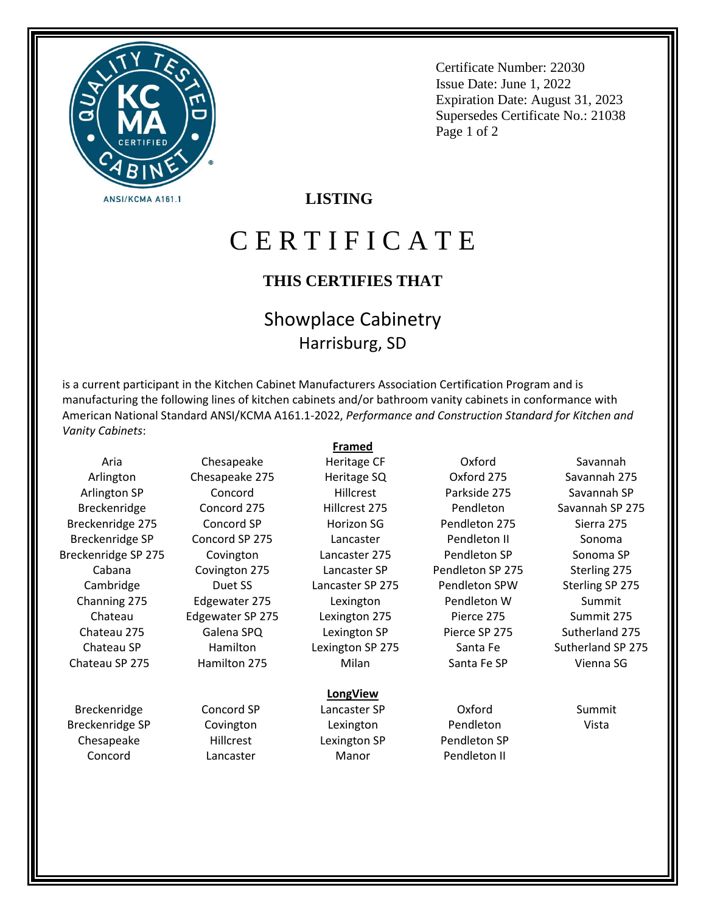

Certificate Number: 22030 Issue Date: June 1, 2022 Expiration Date: August 31, 2023 Supersedes Certificate No.: 21038 Page 1 of 2

### **LISTING**

# C E R T I F I C A T E

#### **THIS CERTIFIES THAT**

## Showplace Cabinetry Harrisburg, SD

is a current participant in the Kitchen Cabinet Manufacturers Association Certification Program and is manufacturing the following lines of kitchen cabinets and/or bathroom vanity cabinets in conformance with American National Standard ANSI/KCMA A161.1-2022, *Performance and Construction Standard for Kitchen and Vanity Cabinets*:

**Framed**

Heritage CF

Aria Arlington Arlington SP Breckenridge Breckenridge 275 Breckenridge SP Breckenridge SP 275 Cabana Cambridge Channing 275 Chateau Chateau 275 Chateau SP Chateau SP 275

Breckenridge Breckenridge SP Chesapeake Concord

Chesapeake Chesapeake 275 Concord Concord 275 Concord SP Concord SP 275 Covington Covington 275 Duet SS Edgewater 275 Edgewater SP 275 Galena SPQ Hamilton Hamilton 275

> Concord SP Covington Hillcrest Lancaster

Heritage SQ Hillcrest Hillcrest 275 Horizon SG Lancaster

Lancaster 275 Lancaster SP Lancaster SP 275 Lexington Lexington 275 Lexington SP Lexington SP 275 Milan

#### **LongView**

Lancaster SP Lexington Lexington SP Manor

Oxford Oxford 275 Parkside 275 Pendleton Pendleton 275 Pendleton II Pendleton SP Pendleton SP 275 Pendleton SPW Pendleton W Pierce 275 Pierce SP 275 Santa Fe Santa Fe SP

Oxford Pendleton Pendleton SP Pendleton II

Savannah Savannah 275 Savannah SP Savannah SP 275 Sierra 275 Sonoma Sonoma SP Sterling 275 Sterling SP 275 Summit Summit 275 Sutherland 275 Sutherland SP 275 Vienna SG

> Summit Vista